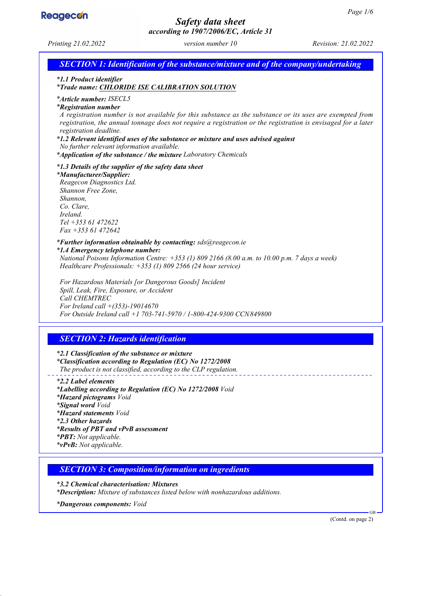

# *Safety data sheet*

*according to 1907/2006/EC, Article 31 Printing 21.02.2022 version number 10 Revision: 21.02.2022 SECTION 1: Identification of the substance/mixture and of the company/undertaking \* 1.1 Product identifier \* Trade name: CHLORIDE ISE CALIBRATION SOLUTION \* Article number: ISECL5 \* Registration number A registration number is not available for this substance as the substance or its uses are exempted from registration, the annual tonnage does not require a registration or the registration is envisaged for a later registration deadline. \* 1.2 Relevant identified uses of the substance or mixture and uses advised against No further relevant information available. \* Application of the substance / the mixture Laboratory Chemicals \* 1.3 Details of the supplier of the safety data sheet \* Manufacturer/Supplier: Reagecon Diagnostics Ltd. Shannon Free Zone, Shannon, Co. Clare, Ireland. Tel +353 61 472622 Fax +353 61 472642 \* Further information obtainable by contacting: sds@reagecon.ie \* 1.4 Emergency telephone number: National Poisons Information Centre: +353 (1) 809 2166 (8.00 a.m. to 10.00 p.m. 7 days a week) Healthcare Professionals: +353 (1) 809 2566 (24 hour service) For Hazardous Materials [or Dangerous Goods] Incident Spill, Leak, Fire, Exposure, or Accident Call CHEMTREC For Ireland call +(353)-19014670 For Outside Ireland call +1 703-741-5970 / 1-800-424-9300 CCN849800 SECTION 2: Hazards identification \* 2.1 Classification of the substance or mixture \* Classification according to Regulation (EC) No 1272/2008 The product is not classified, according to the CLP regulation. \* 2.2 Label elements \* Labelling according to Regulation (EC) No 1272/2008 Void \* Hazard pictograms Void \* Signal word Void \* Hazard statements Void \* 2.3 Other hazards \* Results of PBT and vPvB assessment \* PBT: Not applicable. \* vPvB: Not applicable. SECTION 3: Composition/information on ingredients \* 3.2 Chemical characterisation: Mixtures \* Description: Mixture of substances listed below with nonhazardous additions. \* Dangerous components: Void* GB (Contd. on page 2)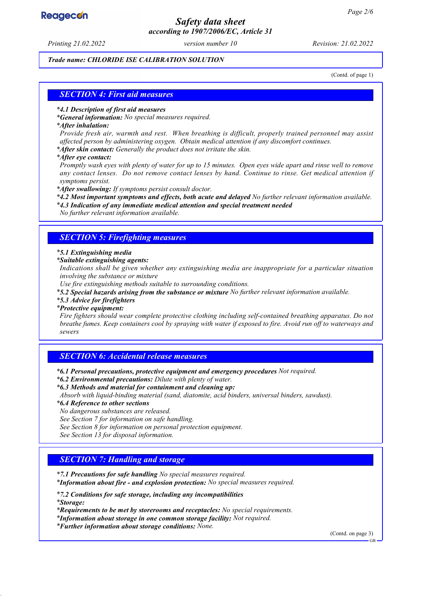## **Reagecon**

## *Safety data sheet according to 1907/2006/EC, Article 31*

*Printing 21.02.2022 version number 10 Revision: 21.02.2022*

#### *Trade name: CHLORIDE ISE CALIBRATION SOLUTION*

(Contd. of page 1)

#### *SECTION 4: First aid measures*

#### *\* 4.1 Description of first aid measures*

*\* General information: No special measures required.*

#### *\* After inhalation:*

*Provide fresh air, warmth and rest. When breathing is difficult, properly trained personnel may assist affected person by administering oxygen. Obtain medical attention if any discomfort continues.*

*\* After skin contact: Generally the product does not irritate the skin.*

*\* After eye contact:*

*Promptly wash eyes with plenty of water for up to 15 minutes. Open eyes wide apart and rinse well to remove any contact lenses. Do not remove contact lenses by hand. Continue to rinse. Get medical attention if symptoms persist.*

*\* After swallowing: If symptoms persist consult doctor.*

*\* 4.2 Most important symptoms and effects, both acute and delayed No further relevant information available.*

*\* 4.3 Indication of any immediate medical attention and special treatment needed*

*No further relevant information available.*

#### *SECTION 5: Firefighting measures*

#### *\* 5.1 Extinguishing media*

*\* Suitable extinguishing agents:*

*Indications shall be given whether any extinguishing media are inappropriate for a particular situation involving the substance or mixture*

*Use fire extinguishing methods suitable to surrounding conditions.*

*\* 5.2 Special hazards arising from the substance or mixture No further relevant information available.*

*\* 5.3 Advice for firefighters*

#### *\* Protective equipment:*

*Fire fighters should wear complete protective clothing including self-contained breathing apparatus. Do not breathe fumes. Keep containers cool by spraying with water if exposed to fire. Avoid run off to waterways and sewers*

#### *SECTION 6: Accidental release measures*

*\* 6.1 Personal precautions, protective equipment and emergency procedures Not required.*

- *\* 6.2 Environmental precautions: Dilute with plenty of water.*
- *\* 6.3 Methods and material for containment and cleaning up:*

*Absorb with liquid-binding material (sand, diatomite, acid binders, universal binders, sawdust).*

*\* 6.4 Reference to other sections*

*No dangerous substances are released.*

*See Section 7 for information on safe handling.*

*See Section 8 for information on personal protection equipment.*

*See Section 13 for disposal information.*

#### *SECTION 7: Handling and storage*

*\* 7.1 Precautions for safe handling No special measures required.*

*\* Information about fire - and explosion protection: No special measures required.*

*\* 7.2 Conditions for safe storage, including any incompatibilities*

*\* Storage:*

*\* Requirements to be met by storerooms and receptacles: No special requirements.*

*\* Information about storage in one common storage facility: Not required.*

*\* Further information about storage conditions: None.*

(Contd. on page 3)

GB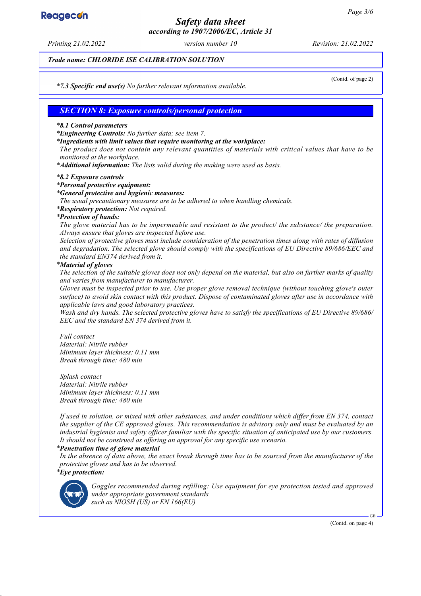# **Reagecon**

## *Safety data sheet according to 1907/2006/EC, Article 31*

*Printing 21.02.2022 version number 10 Revision: 21.02.2022*

*Trade name: CHLORIDE ISE CALIBRATION SOLUTION*

(Contd. of page 2)

*\* 7.3 Specific end use(s) No further relevant information available.*

#### *SECTION 8: Exposure controls/personal protection*

#### *\* 8.1 Control parameters*

*\* Engineering Controls: No further data; see item 7.*

*\* Ingredients with limit values that require monitoring at the workplace:*

*The product does not contain any relevant quantities of materials with critical values that have to be monitored at the workplace.*

*\* Additional information: The lists valid during the making were used as basis.*

#### *\* 8.2 Exposure controls*

#### *\* Personal protective equipment:*

#### *\* General protective and hygienic measures:*

*The usual precautionary measures are to be adhered to when handling chemicals.*

*\* Respiratory protection: Not required.*

#### *\* Protection of hands:*

*The glove material has to be impermeable and resistant to the product/ the substance/ the preparation. Always ensure that gloves are inspected before use.*

*Selection of protective gloves must include consideration of the penetration times along with rates of diffusion and degradation. The selected glove should comply with the specifications of EU Directive 89/686/EEC and the standard EN374 derived from it.*

#### *\* Material of gloves*

*The selection of the suitable gloves does not only depend on the material, but also on further marks of quality and varies from manufacturer to manufacturer.*

*Gloves must be inspected prior to use. Use proper glove removal technique (without touching glove's outer surface) to avoid skin contact with this product. Dispose of contaminated gloves after use in accordance with applicable laws and good laboratory practices.*

*Wash and dry hands. The selected protective gloves have to satisfy the specifications of EU Directive 89/686/ EEC and the standard EN 374 derived from it.*

*Full contact Material: Nitrile rubber Minimum layer thickness: 0.11 mm Break through time: 480 min*

*Splash contact Material: Nitrile rubber Minimum layer thickness: 0.11 mm Break through time: 480 min*

*If used in solution, or mixed with other substances, and under conditions which differ from EN 374, contact the supplier of the CE approved gloves. This recommendation is advisory only and must be evaluated by an industrial hygienist and safety officer familiar with the specific situation of anticipated use by our customers. It should not be construed as offering an approval for any specific use scenario.*

#### *\* Penetration time of glove material*

*In the absence of data above, the exact break through time has to be sourced from the manufacturer of the protective gloves and has to be observed. \* Eye protection:*



*Goggles recommended during refilling: Use equipment for eye protection tested and approved under appropriate government standards such as NIOSH (US) or EN 166(EU)*

(Contd. on page 4)

GB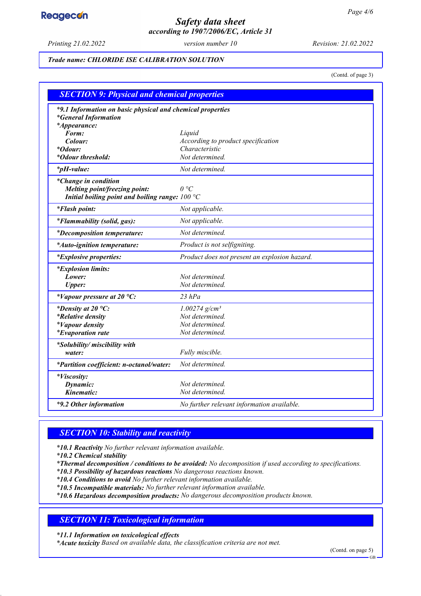# **Reagecon**

## *Safety data sheet according to 1907/2006/EC, Article 31*

*Printing 21.02.2022 version number 10 Revision: 21.02.2022*

#### *Trade name: CHLORIDE ISE CALIBRATION SOLUTION*

(Contd. of page 3)

| <b>SECTION 9: Physical and chemical properties</b>                                                               |                                               |  |
|------------------------------------------------------------------------------------------------------------------|-----------------------------------------------|--|
| *9.1 Information on basic physical and chemical properties<br><i>*General Information</i><br><i>*Appearance:</i> |                                               |  |
| Form:                                                                                                            | Liquid                                        |  |
| Colour:                                                                                                          | According to product specification            |  |
| <i>*Odour:</i>                                                                                                   | Characteristic                                |  |
| <i>*Odour threshold:</i>                                                                                         | Not determined.                               |  |
| $*_{p}H$ -value:                                                                                                 | Not determined.                               |  |
| <i>*Change in condition</i>                                                                                      |                                               |  |
| Melting point/freezing point:                                                                                    | $\theta$ °C                                   |  |
| Initial boiling point and boiling range: $100 °C$                                                                |                                               |  |
| <i>*Flash point:</i>                                                                                             | Not applicable.                               |  |
| <i>*Flammability (solid, gas):</i>                                                                               | Not applicable.                               |  |
| <i>*Decomposition temperature:</i>                                                                               | Not determined.                               |  |
| <i>*Auto-ignition temperature:</i>                                                                               | Product is not selfigniting.                  |  |
| <i>*Explosive properties:</i>                                                                                    | Product does not present an explosion hazard. |  |
| <i>*Explosion limits:</i>                                                                                        |                                               |  |
| Lower:                                                                                                           | Not determined.                               |  |
| <b>Upper:</b>                                                                                                    | Not determined.                               |  |
| *Vapour pressure at 20 $^{\circ}C$ :                                                                             | $23$ $hPa$                                    |  |
| *Density at 20 $^{\circ}C$ :                                                                                     | $1.00274$ g/cm <sup>3</sup>                   |  |
| <i>*Relative density</i>                                                                                         | Not determined.                               |  |
| <i>*Vapour density</i>                                                                                           | Not determined.                               |  |
| <i>*Evaporation rate</i>                                                                                         | Not determined.                               |  |
| *Solubility/ miscibility with                                                                                    |                                               |  |
| water:                                                                                                           | Fully miscible.                               |  |
| *Partition coefficient: n-octanol/water:                                                                         | Not determined.                               |  |
| <i>*Viscosity:</i>                                                                                               |                                               |  |
| Dynamic:                                                                                                         | Not determined.                               |  |
| Kinematic:                                                                                                       | Not determined.                               |  |
| *9.2 Other information                                                                                           | No further relevant information available.    |  |

## *SECTION 10: Stability and reactivity*

*\* 10.1 Reactivity No further relevant information available.*

*\* 10.2 Chemical stability*

*\* Thermal decomposition / conditions to be avoided: No decomposition if used according to specifications.*

*\* 10.3 Possibility of hazardous reactions No dangerous reactions known.*

*\* 10.4 Conditions to avoid No further relevant information available.*

*\* 10.5 Incompatible materials: No further relevant information available.*

*\* 10.6 Hazardous decomposition products: No dangerous decomposition products known.*

## *SECTION 11: Toxicological information*

*\* 11.1 Information on toxicological effects*

*\* Acute toxicity Based on available data, the classification criteria are not met.*

(Contd. on page 5)

GB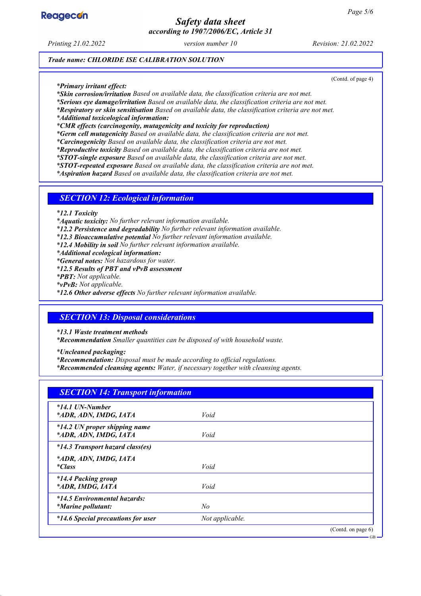

## *Safety data sheet according to 1907/2006/EC, Article 31*

*Printing 21.02.2022 version number 10 Revision: 21.02.2022*

(Contd. of page 4)

*Trade name: CHLORIDE ISE CALIBRATION SOLUTION*

*\* Primary irritant effect:*

*\* Skin corrosion/irritation Based on available data, the classification criteria are not met.*

*\* Serious eye damage/irritation Based on available data, the classification criteria are not met.*

*\* Respiratory or skin sensitisation Based on available data, the classification criteria are not met.*

*\* Additional toxicological information:*

*\* CMR effects (carcinogenity, mutagenicity and toxicity for reproduction)*

*\* Germ cell mutagenicity Based on available data, the classification criteria are not met.*

*\* Carcinogenicity Based on available data, the classification criteria are not met.*

*\* Reproductive toxicity Based on available data, the classification criteria are not met.*

*\* STOT-single exposure Based on available data, the classification criteria are not met.*

*\* STOT-repeated exposure Based on available data, the classification criteria are not met.*

*\* Aspiration hazard Based on available data, the classification criteria are not met.*

#### *SECTION 12: Ecological information*

*\* 12.1 Toxicity*

*\* Aquatic toxicity: No further relevant information available.*

*\* 12.2 Persistence and degradability No further relevant information available.*

*\* 12.3 Bioaccumulative potential No further relevant information available.*

*\* 12.4 Mobility in soil No further relevant information available.*

*\* Additional ecological information:*

*\* General notes: Not hazardous for water.*

*\* 12.5 Results of PBT and vPvB assessment*

*\* PBT: Not applicable.*

*\* vPvB: Not applicable.*

*\* 12.6 Other adverse effects No further relevant information available.*

#### *SECTION 13: Disposal considerations*

*\* 13.1 Waste treatment methods*

*\* Recommendation Smaller quantities can be disposed of with household waste.*

*\* Uncleaned packaging:*

*\* Recommendation: Disposal must be made according to official regulations.*

*\* Recommended cleansing agents: Water, if necessary together with cleansing agents.*

| <b>SECTION 14: Transport information</b>                  |                 |                       |
|-----------------------------------------------------------|-----------------|-----------------------|
| $*14.1$ UN-Number<br>*ADR, ADN, IMDG, IATA                | Void            |                       |
| *14.2 UN proper shipping name<br>*ADR, ADN, IMDG, IATA    | Void            |                       |
| *14.3 Transport hazard class(es)                          |                 |                       |
| *ADR, ADN, IMDG, IATA<br><i>*Class</i>                    | Void            |                       |
| <i>*14.4 Packing group</i><br>*ADR, IMDG, IATA            | Void            |                       |
| *14.5 Environmental hazards:<br><i>*Marine pollutant:</i> | No              |                       |
| <i>*14.6 Special precautions for user</i>                 | Not applicable. |                       |
|                                                           |                 | (Contd. on page $6$ ) |

GB